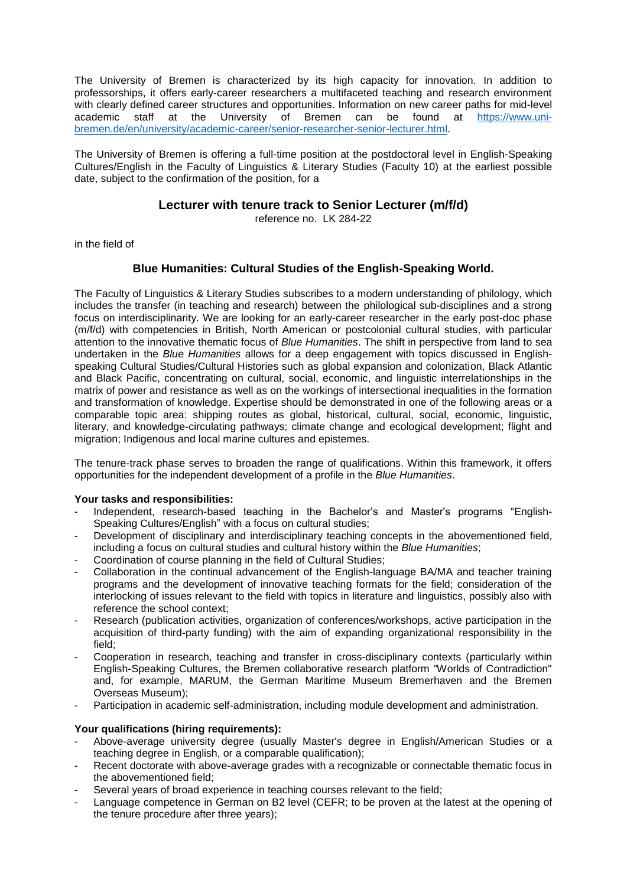The University of Bremen is characterized by its high capacity for innovation. In addition to professorships, it offers early-career researchers a multifaceted teaching and research environment with clearly defined career structures and opportunities. Information on new career paths for mid-level academic staff at the University of Bremen can be found at [https://www.uni](https://www.uni-bremen.de/en/university/academic-career/senior-researcher-senior-lecturer.html)[bremen.de/en/university/academic-career/senior-researcher-senior-lecturer.html.](https://www.uni-bremen.de/en/university/academic-career/senior-researcher-senior-lecturer.html)

The University of Bremen is offering a full-time position at the postdoctoral level in English-Speaking Cultures/English in the Faculty of Linguistics & Literary Studies (Faculty 10) at the earliest possible date, subject to the confirmation of the position, for a

## **Lecturer with tenure track to Senior Lecturer (m/f/d)**

reference no. LK 284-22

in the field of

## **Blue Humanities: Cultural Studies of the English-Speaking World.**

The Faculty of Linguistics & Literary Studies subscribes to a modern understanding of philology, which includes the transfer (in teaching and research) between the philological sub-disciplines and a strong focus on interdisciplinarity. We are looking for an early-career researcher in the early post-doc phase (m/f/d) with competencies in British, North American or postcolonial cultural studies, with particular attention to the innovative thematic focus of *Blue Humanities*. The shift in perspective from land to sea undertaken in the *Blue Humanities* allows for a deep engagement with topics discussed in Englishspeaking Cultural Studies/Cultural Histories such as global expansion and colonization, Black Atlantic and Black Pacific, concentrating on cultural, social, economic, and linguistic interrelationships in the matrix of power and resistance as well as on the workings of intersectional inequalities in the formation and transformation of knowledge. Expertise should be demonstrated in one of the following areas or a comparable topic area: shipping routes as global, historical, cultural, social, economic, linguistic, literary, and knowledge-circulating pathways; climate change and ecological development; flight and migration; Indigenous and local marine cultures and epistemes.

The tenure-track phase serves to broaden the range of qualifications. Within this framework, it offers opportunities for the independent development of a profile in the *Blue Humanities*.

## **Your tasks and responsibilities:**

- Independent, research-based teaching in the Bachelor's and Master's programs "English-Speaking Cultures/English" with a focus on cultural studies;
- Development of disciplinary and interdisciplinary teaching concepts in the abovementioned field, including a focus on cultural studies and cultural history within the *Blue Humanities*;
- Coordination of course planning in the field of Cultural Studies:
- Collaboration in the continual advancement of the English-language BA/MA and teacher training programs and the development of innovative teaching formats for the field; consideration of the interlocking of issues relevant to the field with topics in literature and linguistics, possibly also with reference the school context;
- Research (publication activities, organization of conferences/workshops, active participation in the acquisition of third-party funding) with the aim of expanding organizational responsibility in the field;
- Cooperation in research, teaching and transfer in cross-disciplinary contexts (particularly within English-Speaking Cultures, the Bremen collaborative research platform "Worlds of Contradiction" and, for example, MARUM, the German Maritime Museum Bremerhaven and the Bremen Overseas Museum);
- Participation in academic self-administration, including module development and administration.

## **Your qualifications (hiring requirements):**

- Above-average university degree (usually Master's degree in English/American Studies or a teaching degree in English, or a comparable qualification);
- Recent doctorate with above-average grades with a recognizable or connectable thematic focus in the abovementioned field;
- Several years of broad experience in teaching courses relevant to the field;
- Language competence in German on B2 level (CEFR; to be proven at the latest at the opening of the tenure procedure after three years);